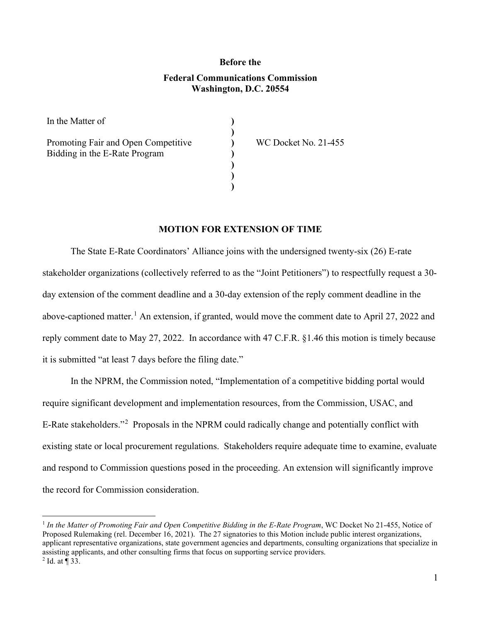## **Before the Federal Communications Commission Washington, D.C. 20554**

**) ) ) ) ) ) )**

In the Matter of

Promoting Fair and Open Competitive Bidding in the E-Rate Program

WC Docket No. 21-455

## **MOTION FOR EXTENSION OF TIME**

The State E-Rate Coordinators' Alliance joins with the undersigned twenty-six (26) E-rate stakeholder organizations (collectively referred to as the "Joint Petitioners") to respectfully request a 30 day extension of the comment deadline and a 30-day extension of the reply comment deadline in the above-captioned matter.<sup>[1](#page-0-0)</sup> An extension, if granted, would move the comment date to April 27, 2022 and reply comment date to May 27, 2022. In accordance with 47 C.F.R. §1.46 this motion is timely because it is submitted "at least 7 days before the filing date."

In the NPRM, the Commission noted, "Implementation of a competitive bidding portal would require significant development and implementation resources, from the Commission, USAC, and E-Rate stakeholders."<sup>[2](#page-0-1)</sup> Proposals in the NPRM could radically change and potentially conflict with existing state or local procurement regulations. Stakeholders require adequate time to examine, evaluate and respond to Commission questions posed in the proceeding. An extension will significantly improve the record for Commission consideration.

<span id="page-0-1"></span><span id="page-0-0"></span><sup>1</sup> *In the Matter of Promoting Fair and Open Competitive Bidding in the E-Rate Program*, WC Docket No 21-455, Notice of Proposed Rulemaking (rel. December 16, 2021). The 27 signatories to this Motion include public interest organizations, applicant representative organizations, state government agencies and departments, consulting organizations that specialize in assisting applicants, and other consulting firms that focus on supporting service providers.  $2$  Id. at ¶ 33.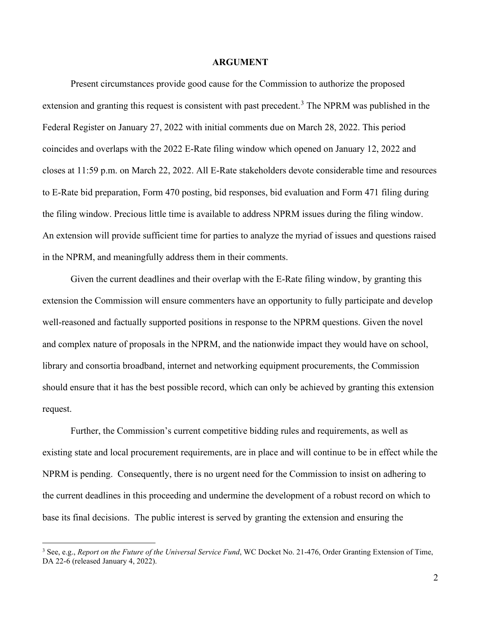## **ARGUMENT**

Present circumstances provide good cause for the Commission to authorize the proposed extension and granting this request is consistent with past precedent.<sup>[3](#page-1-0)</sup> The NPRM was published in the Federal Register on January 27, 2022 with initial comments due on March 28, 2022. This period coincides and overlaps with the 2022 E-Rate filing window which opened on January 12, 2022 and closes at 11:59 p.m. on March 22, 2022. All E-Rate stakeholders devote considerable time and resources to E-Rate bid preparation, Form 470 posting, bid responses, bid evaluation and Form 471 filing during the filing window. Precious little time is available to address NPRM issues during the filing window. An extension will provide sufficient time for parties to analyze the myriad of issues and questions raised in the NPRM, and meaningfully address them in their comments.

Given the current deadlines and their overlap with the E-Rate filing window, by granting this extension the Commission will ensure commenters have an opportunity to fully participate and develop well-reasoned and factually supported positions in response to the NPRM questions. Given the novel and complex nature of proposals in the NPRM, and the nationwide impact they would have on school, library and consortia broadband, internet and networking equipment procurements, the Commission should ensure that it has the best possible record, which can only be achieved by granting this extension request.

Further, the Commission's current competitive bidding rules and requirements, as well as existing state and local procurement requirements, are in place and will continue to be in effect while the NPRM is pending. Consequently, there is no urgent need for the Commission to insist on adhering to the current deadlines in this proceeding and undermine the development of a robust record on which to base its final decisions. The public interest is served by granting the extension and ensuring the

<span id="page-1-0"></span><sup>3</sup> See, e.g., *Report on the Future of the Universal Service Fund*, WC Docket No. 21-476, Order Granting Extension of Time, DA 22-6 (released January 4, 2022).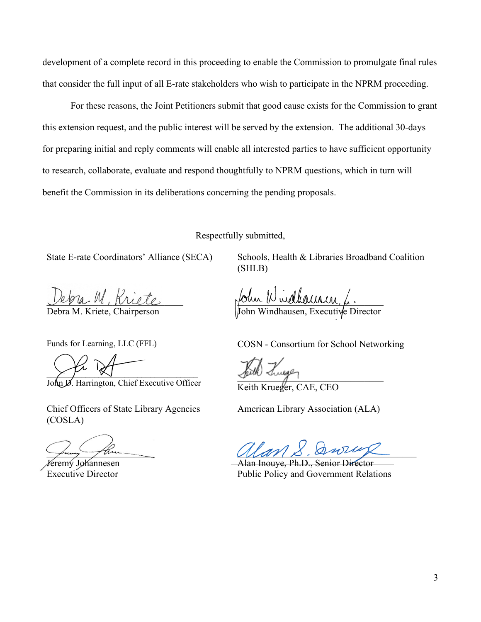development of a complete record in this proceeding to enable the Commission to promulgate final rules that consider the full input of all E-rate stakeholders who wish to participate in the NPRM proceeding.

For these reasons, the Joint Petitioners submit that good cause exists for the Commission to grant this extension request, and the public interest will be served by the extension. The additional 30-days for preparing initial and reply comments will enable all interested parties to have sufficient opportunity to research, collaborate, evaluate and respond thoughtfully to NPRM questions, which in turn will benefit the Commission in its deliberations concerning the pending proposals.

Respectfully submitted,

State E-rate Coordinators' Alliance (SECA)

ebra M. Rriete.

Debra M. Kriete, Chairperson

Schools, Health & Libraries Broadband Coalition (SHLB)

four D walleurn, L. John Windhausen, Executive Director

Funds for Learning, LLC (FFL)

 $\times$   $\gamma$  w

John D. Harrington, Chief Executive Officer

Chief Officers of State Library Agencies (COSLA)

funy the

Jeremy Johannesen Executive Director

COSN - Consortium for School Networking

\_\_\_\_\_\_\_\_\_\_\_\_\_\_\_\_\_\_\_\_\_\_\_\_\_\_\_\_\_\_\_

Keith Krueger, CAE, CEO

American Library Association (ALA)

 $\mathcal{U}(\mathcal{U})\times \mathcal{V}(\mathcal{U})$ 

Alan Inouye, Ph.D., Senior Director Public Policy and Government Relations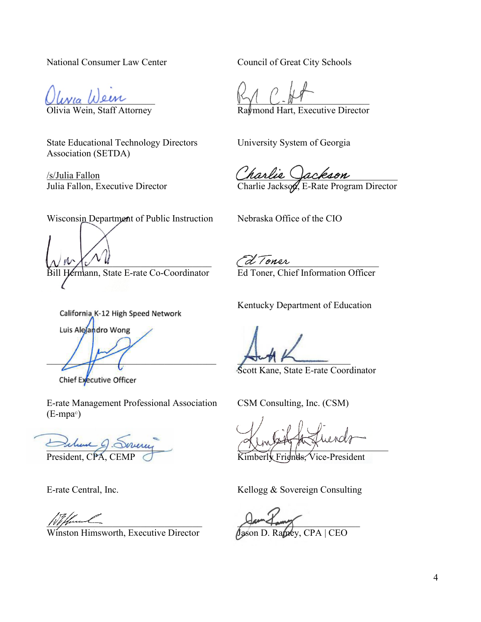National Consumer Law Center

Ulivia Wein

Olivia Wein, Staff Attorney

State Educational Technology Directors Association (SETDA)

/s/Julia Fallon Julia Fallon, Executive Director Council of Great City Schools

 $\mathbb{W}$ 

Raymond Hart, Executive Director

University System of Georgia

\_\_\_\_\_\_\_\_\_\_\_\_\_\_\_\_\_\_\_\_\_\_\_\_\_\_\_\_\_\_\_\_\_\_

Charlie Jackson, E-Rate Program Director

Wisconsin Department of Public Instruction

 $\mathcal{N}$   $\mathcal{N}$   $\mathcal{N}$   $\mathcal{N}$   $\mathcal{N}$ ermann, State E-rate Co-Coordinator

California K-12 High Speed Network Luis Alejandro Wong  $\left| \begin{array}{c} \frac{1}{2} \\ \frac{1}{2} \end{array} \right|$ 

Chief Executive Officer

E-rate Management Professional Association (E-mpa©)

\_\_\_\_\_\_\_\_\_\_\_\_\_\_\_\_\_\_\_\_\_\_\_\_\_ President, CPA, CEMP

E-rate Central, Inc.

 $100$  fluent

Winston Himsworth, Executive Director

Nebraska Office of the CIO

 $\mathcal{L}$  denote Ed Toner, Chief Information Officer

Kentucky Department of Education

 $\sqrt{2\pi n}$ 

Scott Kane, State E-rate Coordinator

CSM Consulting, Inc. (CSM)

 $\sim$ 

Kimberly Friends, Vice-President

Kellogg & Sovereign Consulting

 $\sqrt{2\pi}$ 

Jason D. Ramey, CPA | CEO